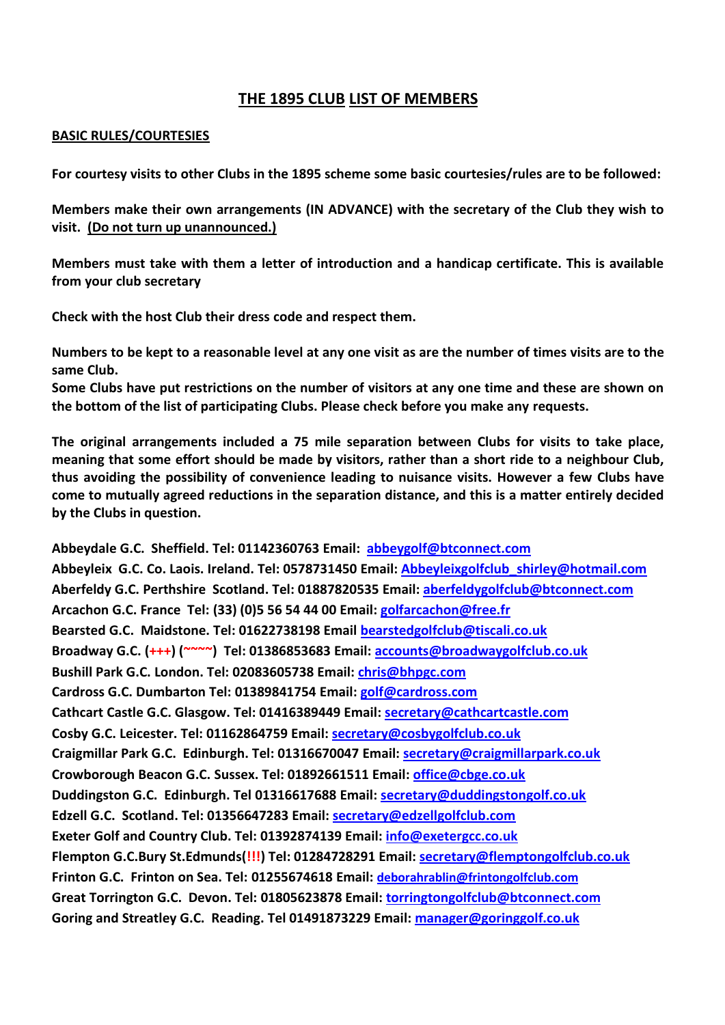## **THE 1895 CLUB LIST OF MEMBERS**

## **BASIC RULES/COURTESIES**

**For courtesy visits to other Clubs in the 1895 scheme some basic courtesies/rules are to be followed:**

**Members make their own arrangements (IN ADVANCE) with the secretary of the Club they wish to visit. (Do not turn up unannounced.)**

**Members must take with them a letter of introduction and a handicap certificate. This is available from your club secretary**

**Check with the host Club their dress code and respect them.**

**Numbers to be kept to a reasonable level at any one visit as are the number of times visits are to the same Club.**

**Some Clubs have put restrictions on the number of visitors at any one time and these are shown on the bottom of the list of participating Clubs. Please check before you make any requests.**

**The original arrangements included a 75 mile separation between Clubs for visits to take place, meaning that some effort should be made by visitors, rather than a short ride to a neighbour Club, thus avoiding the possibility of convenience leading to nuisance visits. However a few Clubs have come to mutually agreed reductions in the separation distance, and this is a matter entirely decided by the Clubs in question.**

**Abbeydale G.C. Sheffield. Tel: 01142360763 Email: [abbeygolf@btconnect.com](mailto:abbeygolf@btconnect.com) Abbeyleix G.C. Co. Laois. Ireland. Tel: 0578731450 Email: [Abbeyleixgolfclub\\_shirley@hotmail.com](mailto:Abbeyleixgolfclub_shirley@hotmail.com) Aberfeldy G.C. Perthshire Scotland. Tel: 01887820535 Email: [aberfeldygolfclub@btconnect.com](mailto:aberfeldygolfclub@btconnect.com) Arcachon G.C. France Tel: (33) (0)5 56 54 44 00 Email: [golfarcachon@free.fr](mailto:golfarcachon@free.fr)  Bearsted G.C. Maidstone. Tel: 01622738198 Email [bearstedgolfclub@tiscali.co.uk](mailto:bearstedgolfclub@tiscali.co.uk) Broadway G.C. (+++) (~~~~) Tel: 01386853683 Email[: accounts@broadwaygolfclub.co.uk](mailto:accounts@broadwaygolfclub.co.uk) Bushill Park G.C. London. Tel: 02083605738 Email: [chris@bhpgc.com](mailto:chris@bhpgc.com) Cardross G.C. Dumbarton Tel: 01389841754 Email: [golf@cardross.com](mailto:golf@cardross.com)  Cathcart Castle G.C. Glasgow. Tel: 01416389449 Email: [secretary@cathcartcastle.com](mailto:secretary@cathcartcastle.com) Cosby G.C. Leicester. Tel: 01162864759 Email: [secretary@cosbygolfclub.co.uk](mailto:secretary@cosbygolfclub.co.uk) Craigmillar Park G.C. Edinburgh. Tel: 01316670047 Email: [secretary@craigmillarpark.co.uk](mailto:secretary@craigmillarpark.co.uk) Crowborough Beacon G.C. Sussex. Tel: 01892661511 Email: [office@cbge.co.uk](mailto:office@cbge.co.uk)  Duddingston G.C. Edinburgh. Tel 01316617688 Email: [secretary@duddingstongolf.co.uk](mailto:secretary@duddingstongolf.co.uk) Edzell G.C. Scotland. Tel: 01356647283 Email: [secretary@edzellgolfclub.com](mailto:secretary@edzellgolfclub.com) Exeter Golf and Country Club. Tel: 01392874139 Email: [info@exetergcc.co.uk](mailto:info@exetergcc.co.uk) Flempton G.C.Bury St.Edmunds(!!!) Tel: 01284728291 Email: [secretary@flemptongolfclub.co.uk](mailto:secretary@flemptongolfclub.co.uk) Frinton G.C. Frinton on Sea. Tel: 01255674618 Email: [deborahrablin@frintongolfclub.com](mailto:deborhrablin@frintongolfclub.com) Great Torrington G.C. Devon. Tel: 01805623878 Email: [torringtongolfclub@btconnect.com](mailto:torringtongolfclub@btconnect.com) Goring and Streatley G.C. Reading. Tel 01491873229 Email[: manager@goringgolf.co.uk](mailto:manager@goringgolf.co.uk)**